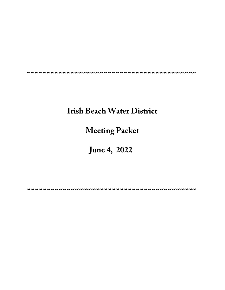# **Irish Beach Water District**

# **Meeting Packet**

# **June 4, 2022**

**~~~~~~~~~~~~~~~~~~~~~~~~~~~~~~~~~~~~~~~~~~**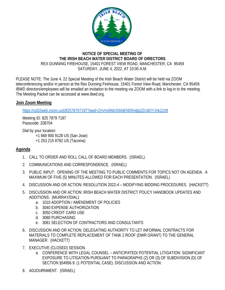

## **NOTICE OF SPECIAL MEETING OF** THE IRISH BEACH WATER DISTRICT BOARD OF DIRECTORS REX DUNNING FIREHOUSE, 15401 FOREST VIEW ROAD, MANCHESTER, CA 95459 SATURDAY, JUNE 4, 2022, AT 10:00 A.M.

PLEASE NOTE: The June 4, 22 Special Meeting of the Irish Beach Water District will be held via ZOOM teleconferencing and/or in person at the Rex Dunning Firehouse, 15401 Forest View Road, Manchester, CA 95459. IBWD directors/employees will be emailed an invitation to the meeting via ZOOM with a link to log-in to the meeting. The Meeting Packet can be accessed at www.ibwd.org.

## Join Zoom Meeting

https://us02web.zoom.us/j/82578797197?pwd=ZnVmdWlzSWdEN05Hdjq2ZUdOY1hkZz09

Meeting ID: 825 7879 7197 Passcode: 208704

Dial by your location:

+1 669 900 9128 US (San Jose) +1 253 215 8782 US (Tacoma)

## Agenda

- 1. CALL TO ORDER AND ROLL CALL OF BOARD MEMBERS. (ISRAEL).
- 2. COMMUNICATIONS AND CORRESPONDENCE. (ISRAEL)
- 3. PUBLIC INPUT: OPENING OF THE MEETING TO PUBLIC COMMENTS FOR TOPICS NOT ON AGENDA. A MAXIMUM OF FIVE (5) MINUTES ALLOWED FOR EACH PRESENTATION. (ISRAEL)
- 4. DISCUSSION AND OR ACTION: RESOLUTION 2022-4 MODIFYING BIDDING PROCEDURES. (HACKETT)
- 5. DISCUSSION AND OR ACTION: IRISH BEACH WATER DISTRICT POLICY HANDBOOK UPDATES AND ADDITIONS. (MURRAY/DIAL):
	- a. 1010 ADOPTION / AMENDMENT OF POLICIES
	- b. 3040 EXPENSE AUTHORIZATION
	- c. 3050 CREDIT CARD USE
	- d. 3080 PURCHASING
	- e. 3081 SELECTION OF CONTRACTORS AND CONSULTANTS
- 6. DISCUSSION AND OR ACTION: DELEGATING AUTHORITY TO LET INFORMAL CONTRACTS FOR MATERIALS TO COMPLETE REPLACEMENT OF TANK 2 ROOF (DWR GRANT) TO THE GENERAL MANAGER. (HACKETT)
- 7. EXECUTIVE (CLOSED) SESSION.
	- a. CONFERENCE WITH LEGAL COUNSEL ANTICIPATED/ POTENTIAL LITIGATION: SIGNIFICANT EXPOSURE TO LITIGATION PURSUANT TO PARAGRAPHS (2) OR (3) OF SUBDIVISION (D) OF SECTION §54956.9: (1 POTENTIAL CASE). DISCUSSION AND ACTION:
- 8. ADJOURNMENT. (ISRAEL)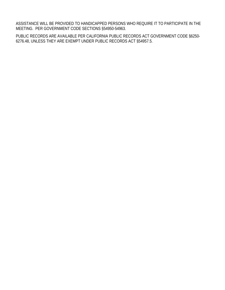ASSISTANCE WILL BE PROVIDED TO HANDICAPPED PERSONS WHO REQUIRE IT TO PARTICIPATE IN THE MEETING. PER GOVERNMENT CODE SECTIONS §54950-54963.

PUBLIC RECORDS ARE AVAILABLE PER CALIFORNIA PUBLIC RECORDS ACT GOVERNMENT CODE §6250- 6276.48, UNLESS THEY ARE EXEMPT UNDER PUBLIC RECORDS ACT §54957.5.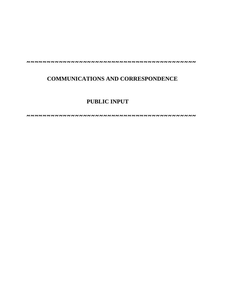## **COMMUNICATIONS AND CORRESPONDENCE**

## **PUBLIC INPUT**

**~~~~~~~~~~~~~~~~~~~~~~~~~~~~~~~~~~~~~~~~~~**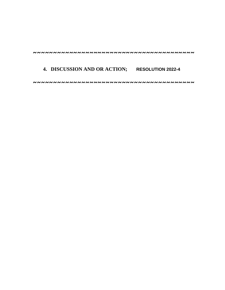## **4. DISCUSSION AND OR ACTION; RESOLUTION 2022-4**

 **~~~~~~~~~~~~~~~~~~~~~~~~~~~~~~~~~~~~~~~~**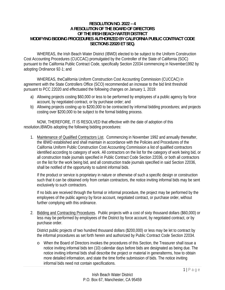### **RESOLUTION NO. 2022 – 4 A RESOLUTION OF THE BOARD OF DIRECTORS OF THE IRISH BEACH WATER DISTRICT MODIFYING BIDDING PROCEDURES AUTHORIZED BY CALIFORNIA PUBLIC CONTRACT CODE SECTIONS 22020 ET SEQ.**

 WHEREAS, the Irish Beach Water District (IBWD) elected to be subject to the Uniform Construction Cost Accounting Procedures (CUCCAC) promulgated by the Controller of the State of California (SOC) pursuant to the California Public Contract Code, specifically Section 22034 commencing in November1992 by adopting Ordinance 92-1; and

WHEREAS, theCalifornia Uniform Construction Cost Accounting Commission (CUCCAC) in agreement with the State Controllers Office (SCO) recommended an increase to the bid limit threshold pursuant to PCC 22020 and effectuated the following changes on January 1, 2019:

- a) Allowing projects costing \$60,000 or less to be performed by employees of a public agency by force account, by negotiated contract, or by purchase order; and
- b) Allowing projects costing up to \$200,000 to be contracted by informal bidding procedures; and projects costing over \$200,000 to be subject to the formal bidding process.

NOW, THEREFORE, IT IS RESOLVED that effective with the date of adoption of this resolution,IBWDis adopting the following bidding procedures:

1. Maintenance of Qualified Contractors List. Commencing in November 1992 and annually thereafter, the IBWD established and shall maintain in accordance with the Policies and Procedures of the California Uniform Public Construction Cost Accounting Commission a list of qualified contractors identified according to category of work. All contractors on the list for the category of work being bid, or all construction trade journals specified in Public Contract Code Section 22036, or both all contractors on the list for the work being bid, and all construction trade journals specified in said Section 22036, shall be notified of the opportunity to submit informal bids.

If the product or service is proprietary in nature or otherwise of such a specific design or construction such that it can be obtained only from certain contractors, the notice inviting informal bids may be sent exclusively to such contractors.

If no bids are received through the formal or informal procedure, the project may be performed by the employees of the public agency by force account, negotiated contract, or purchase order, without further complying with this ordinance.

2. Bidding and Contracting Procedures. Public projects with a cost of sixty thousand dollars (\$60,000) or less may be performed by employees of the District by force account, by negotiated contract, or by purchase order.

District public projects of two hundred thousand dollars (\$200,000) or less may be let to contract by the informal procedures as set forth herein and authorized by Public Contract Code Section 22034.

o When the Board of Directors invokes the procedures of this Section, the Treasurer shall issue a notice inviting informal bids ten (10) calendar days before bids are designated as being due. The notice inviting informal bids shall describe the project or material in generalterms, how to obtain more detailed information, and state the time forthe submission of bids. The notice inviting informal bids need not contain specifications.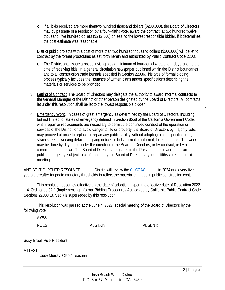o If all bids received are more thantwo hundred thousand dollars (\$200,000), the Board of Directors may by passage of a resolution by a four—fifths vote, award the contract, at two hundred twelve thousand, five hundred dollars (\$212,500) or less, to the lowest responsible bidder, if it determines the cost estimate was reasonable.

District public projects with a cost of more than two hundred thousand dollars (\$200,000) will be let to contract by the formal procedures as set forth herein and authorized by Public Contract Code 22037.

- o The District shall issue a notice inviting bids a minimum of fourteen (14) calendar days prior to the time of receiving bids, in a general circulation newspaper published within the District boundaries and to all construction trade journals specified in Section 22036.This type of formal bidding process typically includes the issuance of written plans and/or specifications describing the materials or services to be provided.
- 3. Letting of Contract. The Board of Directors may delegate the authority to award informal contracts to the General Manager of the District or other person designated by the Board of Directors. All contracts let under this resolution shall be let to the lowest responsible bidder.
- 4. Emergency Work. In cases of great emergency as determined by the Board of Directors, including, but not limited to, states of emergency defined in Section 8558 of the California Government Code, when repair or replacements are necessary to permit the continued conduct of the operation or services of the District, or to avoid danger to life or property, the Board of Directors by majority vote, may proceed at once to replace or repair any public facility without adopting plans, specifications, strain sheets , working details, or giving notice for bids, formal or informal, to let contracts. The work may be done by day-labor under the direction of the Board of Directors, or by contract, or by a combination of the two. The Board of Directors delegates to the President the power to declare a public emergency, subject to confirmation by the Board of Directors by four—fifths vote at its next meeting.

AND BE IT FURTHER RESOLVED that the District will review the CUCCAC manualin 2024 and every five years thereafter toupdate monetary thresholds to reflect the material changes in public construction costs.

 This resolution becomes effective on the date of adoption. Upon the effective date of Resolution 2022 – 4, Ordinance 92-1 (Implementing Informal Bidding Procedures Authorized by California Public Contract Code Sections 22030 Et. Seq.) is superseded by this resolution.

 This resolution was passed at the June 4, 2022, special meeting of the Board of Directors by the following vote:

AYES:

NOES: ABSTAIN: ABSENT:

Susy Israel, Vice-President

ATTEST:

Judy Murray, Clerk/Treasurer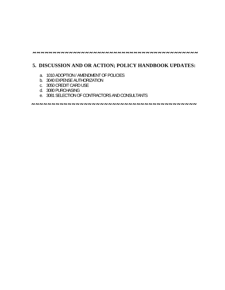## **5. DISCUSSION AND OR ACTION; POLICY HANDBOOK UPDATES:**

- a. 1010 ADOPTION / AMENDMENT OF POLICIES
- b. 3040 EXPENSE AUTHORIZATION
- c. 3050 CREDIT CARD USE
- d. 3080 PURCHASING
- e. 3081 SELECTION OF CONTRACTORS AND CONSULTANTS

 **~~~~~~~~~~~~~~~~~~~~~~~~~~~~~~~~~~~~~~~~~**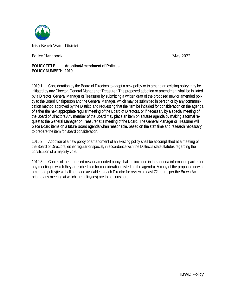

Policy Handbook

May 2022 2

#### **POLIC CY TITLE: POLIC CY NUMBER: 1010 Adoption/Am mendment of f Policies**

1010.1 initiated by any Director, General Manager or Treasurer. The proposed adoption or amendment shall be initiated by a Director, General Manager or Treasurer by submitting a written draft of the proposed new or amended policy to the Board Chairperson and the General Manager, which may be submitted in person or by any communication method approved by the District, and requesting that the item be included for consideration on the agenda of either the next appropriate regular meeting of the Board of Directors, or if necessary by a special meeting of the Board of Directors.Any member of the Board may place an item on a future agenda by making a formal request to the General Manager or Treasurer at a meeting of the Board. The General Manager or Treasurer will place Board items on a future Board agenda when reasonable, based on the staff time and research necessary to prepare the item for Board consideration. Consideration by the Board of Directors to adopt a new policy or to amend an existing policy may be

1010.2 the Board of Directors, either regular or special, in accordance with the District's state statutes regarding the constitution of a majority vote. 2 Adoption of a new policy or amendment of an existing policy shall be accomplished at a meeting of

1010.3 any meeting in which they are scheduled for consideration (listed on the agenda). A copy of the proposed new or amended policy(ies) shall be made available to each Director for review at least 72 hours, per the Brown Act, prior to any meeting at which the policy(ies) are to be considered. 3 Copies of the proposed new or amended policy shall be included in the agenda-information packet for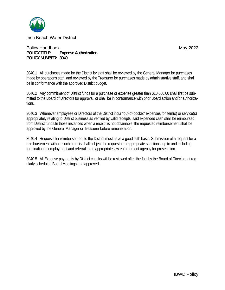

Policy Handbook **POLICY TITLE: Expense Authorization** POLICY NUMBER: 3040

3040.1 All purchases made for the District by staff shall be reviewed by the General Manager for purchases made by operations staff, and reviewed by the Treasurer for purchases made by administrative staff, and shall be in conformance with the approved District budget.

3040.2 Any commitment of District funds for a purchase or expense greater than \$10,000.00 shall first be submitted to the Board of Directors for approval, or shall be in conformance with prior Board action and/or authorizations.

3040.3 Whenever employees or Directors of the District incur "out-of-pocket" expenses for item(s) or service(s) appropriately relating to District business as verified by valid receipts, said expended cash shall be reimbursed from District funds. In those instances when a receipt is not obtainable, the requested reimbursement shall be approved by the General Manager or Treasurer before remuneration.

3040.4 Requests for reimbursement to the District must have a good faith basis. Submission of a request for a reimbursement without such a basis shall subject the requestor to appropriate sanctions, up to and including termination of employment and referral to an appropriate law enforcement agency for prosecution.

3040.5 All Expense payments by District checks will be reviewed after-the-fact by the Board of Directors at regularly scheduled Board Meetings and approved.

May 2022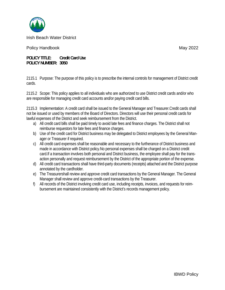

Policy H Handbook

May 2 2022

**POLICY T TITLE: Cr POLICY N NUMBER: 30 050 redit Card Use e**

2115.1 Purpose: The purpose of this policy is to prescribe the internal controls for management of District credit cards.

2115.2 Scope: This policy applies to all individuals who are authorized to use District credit cards and/or who are responsible for managing credit card accounts and/or paying credit card bills.

2115.3 Implementation: A credit card shall be issued to the General Manager and Treasurer.Credit cards shall not be issued or used by members of the Board of Directors. Directors will use their personal credit cards for lawful expenses of the District and seek reimbursement from the District.

- a) All credit card bills shall be paid timely to avoid late fees and finance charges. The District shall not reimburse requestors for late fees and finance charges. a) All credit card bills shall be paid timely to avoid late fees and finance charges. The District shall not<br>reimburse requestors for late fees and finance charges.<br>b) Use of the credit card for District business may be de
- ager or Treasurer if required.
- c) All credit card expenses shall be reasonable and necessary to the furtherance of District business and made in accordance with District policy.No personal expenses shall be charged on a District credit made in accordance with District policy.No personal expenses shall be charged on a District credit<br>card.If a transaction involves both personal and District business, the employee shall pay for the transaction personally and request reimbursement by the District of the appropriate portion of the expense.
- d) All credit card transactions shall have third-party documents (receipts) attached and the District purpose annotated by the cardholder.
- e) The Treasurershall review and approve credit card transactions by the General Manager. The General Manager shall review and approve credit-card transactions by the Treasurer.
- f) All records of the District involving credit card use, including receipts, invoices, and requests for reimbursement are maintained consistently with the District's records management policy.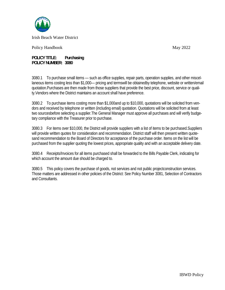

Policy Handbook

May 2022

**POLICY TITLE:** Purchasing POLICY NUMBER: 3080

3080.1 To purchase small items — such as office supplies, repair parts, operation supplies, and other miscellaneous items costing less than \$1,000— pricing and termswill be obtainedby telephone, website or written/email quotation. Purchases are then made from those suppliers that provide the best price, discount, service or quality. Vendors where the District maintains an account shall have preference.

3080.2 To purchase items costing more than \$1,000 and up to \$10,000, quotations will be solicited from vendors and received by telephone or written (including email) quotation. Quotations will be solicited from at least two sourcesbefore selecting a supplier. The General Manager must approve all purchases and will verify budgetary compliance with the Treasurer prior to purchase.

3080.3 For items over \$10,000, the District will provide suppliers with a list of items to be purchased. Suppliers will provide written quotes for consideration and recommendation. District staff will then present written quotesand recommendation to the Board of Directors for acceptance of the purchase order. Items on the list will be purchased from the supplier quoting the lowest prices, appropriate quality and with an acceptable delivery date.

3080.4 Receipts/Invoices for all items purchased shall be forwarded to the Bills Payable Clerk, indicating for which account the amount due should be charged to.

3080.5 This policy covers the purchase of goods, not services and not public project construction services. Those matters are addressed in other policies of the District: See Policy Number 3081, Selection of Contractors and Consultants.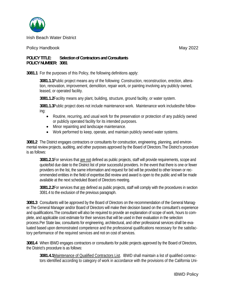

### Policy Handbook

May 2022

#### **POLICY TITLE: Selection of Contractors and Consultants** POLICY NUMBER: 3081

3081.1 For the purposes of this Policy, the following definitions apply:

3081.1.1 Public project means any of the following: Construction, reconstruction, erection, alteration, renovation, improvement, demolition, repair work, or painting involving any publicly owned, leased, or operated facility.

3081.1.2 Facility means any plant, building, structure, ground facility, or water system.

3081.1.3Public project does not include maintenance work. Maintenance work includesthe follow $ina:$ 

- Routine, recurring, and usual work for the preservation or protection of any publicly owned  $\bullet$ or publicly operated facility for its intended purposes.
- Minor repainting and landscape maintenance.
- Work performed to keep, operate, and maintain publicly owned water systems.  $\bullet$

3081.2 The District engages contractors or consultants for construction, engineering, planning, and environmental review projects, auditing, and other purposes approved by the Board of Directors. The District's procedure is as follows:

3081.2.1 For services that are not defined as public projects, staff will provide requirements, scope and quote/bid due date to the District list of prior successful providers. In the event that there is one or fewer providers on the list, the same information and request for bid will be provided to other known or recommended entities in the field of expertise. Bid review and award is open to the public and will be made available at the next scheduled Board of Directors meeting.

3081.2.2For services that are defined as public projects, staff will comply with the procedures in section 3081.4 to the exclusion of the previous paragraph.

3081.3 Consultants will be approved by the Board of Directors on the recommendation of the General Manaqer. The General Manager and/or Board of Directors will make their decision based on the consultant's experience and qualifications. The consultant will also be required to provide an explanation of scope of work, hours to complete, and applicable cost estimate for their services that will be used in their evaluation in the selection process. Per State law, consultants for engineering, architectural, and other professional services shall be evaluated based upon demonstrated competence and the professional qualifications necessary for the satisfactory performance of the required services and not on cost of services.

3081.4 When IBWD engages contractors or consultants for public projects approved by the Board of Directors, the District's procedure is as follows:

3081.4.1 Maintenance of Qualified Contractors List. IBWD shall maintain a list of qualified contractors identified according to category of work in accordance with the provisions of the California Uni-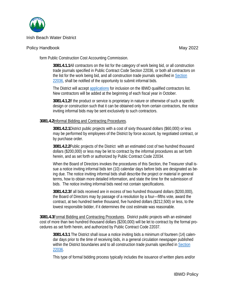

## Policy Handbook

form Public Construction Cost Accounting Commission.

3081.4.1.1All contractors on the list for the category of work being bid, or all construction trade journals specified in Public Contract Code Section 22036, or both all contractors on the list for the work being bid, and all construction trade journals specified in Section 22036, shall be notified of the opportunity to submit informal bids.

The District will accept applications for inclusion on the IBWD qualified contractors list. New contractors will be added at the beginning of each fiscal year in October.

3081.4.1.2If the product or service is proprietary in nature or otherwise of such a specific design or construction such that it can be obtained only from certain contractors, the notice inviting informal bids may be sent exclusively to such contractors.

## 3081.4.2Informal Bidding and Contracting Procedures.

3081.4.2.1 District public projects with a cost of sixty thousand dollars (\$60,000) or less may be performed by employees of the District by force account, by negotiated contract, or by purchase order.

3081.4.2.2Public projects of the District with an estimated cost of two hundred thousand dollars (\$200,000) or less may be let to contract by the informal procedures as set forth herein, and as set forth or authorized by Public Contract Code 22034.

When the Board of Directors invokes the procedures of this Section, the Treasurer shall issue a notice inviting informal bids ten (10) calendar days before bids are designated as being due. The notice inviting informal bids shall describe the project or material in general terms, how to obtain more detailed information, and state the time for the submission of bids. The notice inviting informal bids need not contain specifications.

3081.4.2.3If all bids received are in excess of two hundred thousand dollars (\$200,000), the Board of Directors may by passage of a resolution by a four-fifths vote, award the contract, at two hundred twelve thousand, five hundred dollars (\$212,500) or less, to the lowest responsible bidder, if it determines the cost estimate was reasonable.

3081.4.3 Formal Bidding and Contracting Procedures. District public projects with an estimated cost of more than two hundred thousand dollars (\$200,000) will be let to contract by the formal procedures as set forth herein, and authorized by Public Contract Code 22037.

3081.4.3.1 The District shall issue a notice inviting bids a minimum of fourteen (14) calendar days prior to the time of receiving bids, in a general circulation newspaper published within the District boundaries and to all construction trade journals specified in Section 22036.

This type of formal bidding process typically includes the issuance of written plans and/or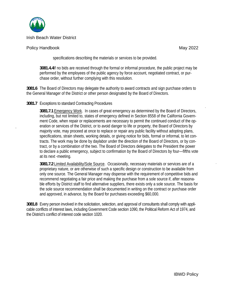

## Policy Handbook

specifications describing the materials or services to be provided.

3081.4.4If no bids are received through the formal or informal procedure, the public project may be performed by the employees of the public agency by force account, negotiated contract, or purchase order, without further complying with this resolution.

3081.6 The Board of Directors may delegate the authority to award contracts and sign purchase orders to the General Manager of the District or other person designated by the Board of Directors.

## 3081.7 Exceptions to standard Contracting Procedures

3081.7.1 Emergency Work. In cases of great emergency as determined by the Board of Directors, including, but not limited to, states of emergency defined in Section 8558 of the California Government Code, when repair or replacements are necessary to permit the continued conduct of the operation or services of the District, or to avoid danger to life or property, the Board of Directors by majority vote, may proceed at once to replace or repair any public facility without adopting plans, specifications, strain sheets, working details, or giving notice for bids, formal or informal, to let contracts. The work may be done by daylabor under the direction of the Board of Directors, or by contract, or by a combination of the two. The Board of Directors delegates to the President the power to declare a public emergency, subject to confirmation by the Board of Directors by four—fifths vote at its next -meeting.

3081.7.2 Limited Availability/Sole Source. Occasionally, necessary materials or services are of a proprietary nature, or are otherwise of such a specific design or construction to be available from only one source. The General Manager may dispense with the requirement of competitive bids and recommend negotiating a fair price and making the purchase from a sole source if, after reasonable efforts by District staff to find alternative suppliers, there exists only a sole source. The basis for the sole source recommendation shall be documented in writing on the contract or purchase order and approved, in advance, by the Board for purchases exceeding \$60,000.

3081.8 Every person involved in the solicitation, selection, and approval of consultants shall comply with applicable conflicts of interest laws, including Government Code section 1090, the Political Reform Act of 1974, and the District's conflict of interest code section 1020.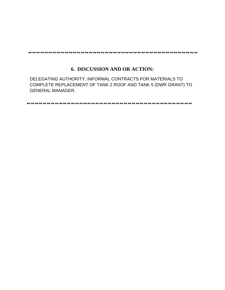## **6. DISCUSSION AND OR ACTION:**

DELEGATING AUTHORITY; INFORMAL CONTRACTS FOR MATERIALS TO COMPLETE REPLACEMENT OF TANK 2 ROOF AND TANK 5 (DWR GRANT) TO GENERAL MANAGER.

**~~~~~~~~~~~~~~~~~~~~~~~~~~~~~~~~~~~~~~~~~**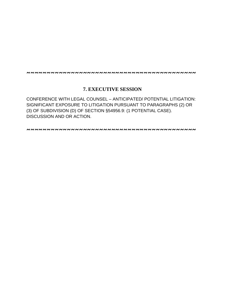## **7. EXECUTIVE SESSION**

CONFERENCE WITH LEGAL COUNSEL – ANTICIPATED/ POTENTIAL LITIGATION: SIGNIFICANT EXPOSURE TO LITIGATION PURSUANT TO PARAGRAPHS (2) OR (3) OF SUBDIVISION (D) OF SECTION §54956.9: (1 POTENTIAL CASE). DISCUSSION AND OR ACTION.

**~~~~~~~~~~~~~~~~~~~~~~~~~~~~~~~~~~~~~~~~~~**